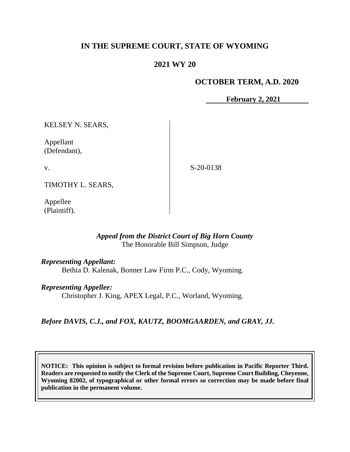# **IN THE SUPREME COURT, STATE OF WYOMING**

# **2021 WY 20**

### **OCTOBER TERM, A.D. 2020**

**February 2, 2021**

KELSEY N. SEARS,

Appellant (Defendant),

v.

S-20-0138

TIMOTHY L. SEARS,

Appellee (Plaintiff).

### *Appeal from the District Court of Big Horn County* The Honorable Bill Simpson, Judge

*Representing Appellant:*

Bethia D. Kalenak, Bonner Law Firm P.C., Cody, Wyoming.

*Representing Appellee:*

Christopher J. King, APEX Legal, P.C., Worland, Wyoming.

*Before DAVIS, C.J., and FOX, KAUTZ, BOOMGAARDEN, and GRAY, JJ.*

**NOTICE: This opinion is subject to formal revision before publication in Pacific Reporter Third. Readers are requested to notify the Clerk of the Supreme Court, Supreme Court Building, Cheyenne, Wyoming 82002, of typographical or other formal errors so correction may be made before final publication in the permanent volume.**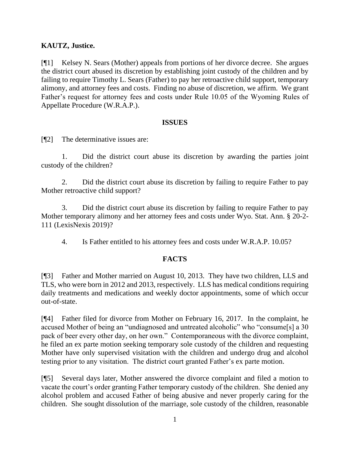# **KAUTZ, Justice.**

[¶1] Kelsey N. Sears (Mother) appeals from portions of her divorce decree. She argues the district court abused its discretion by establishing joint custody of the children and by failing to require Timothy L. Sears (Father) to pay her retroactive child support, temporary alimony, and attorney fees and costs. Finding no abuse of discretion, we affirm. We grant Father's request for attorney fees and costs under Rule 10.05 of the Wyoming Rules of Appellate Procedure (W.R.A.P.).

#### **ISSUES**

[¶2] The determinative issues are:

1. Did the district court abuse its discretion by awarding the parties joint custody of the children?

2. Did the district court abuse its discretion by failing to require Father to pay Mother retroactive child support?

3. Did the district court abuse its discretion by failing to require Father to pay Mother temporary alimony and her attorney fees and costs under Wyo. Stat. Ann. § 20-2- 111 (LexisNexis 2019)?

4. Is Father entitled to his attorney fees and costs under W.R.A.P. 10.05?

# **FACTS**

[¶3] Father and Mother married on August 10, 2013. They have two children, LLS and TLS, who were born in 2012 and 2013, respectively. LLS has medical conditions requiring daily treatments and medications and weekly doctor appointments, some of which occur out-of-state.

[¶4] Father filed for divorce from Mother on February 16, 2017. In the complaint, he accused Mother of being an "undiagnosed and untreated alcoholic" who "consume[s] a 30 pack of beer every other day, on her own." Contemporaneous with the divorce complaint, he filed an ex parte motion seeking temporary sole custody of the children and requesting Mother have only supervised visitation with the children and undergo drug and alcohol testing prior to any visitation. The district court granted Father's ex parte motion.

[¶5] Several days later, Mother answered the divorce complaint and filed a motion to vacate the court's order granting Father temporary custody of the children. She denied any alcohol problem and accused Father of being abusive and never properly caring for the children. She sought dissolution of the marriage, sole custody of the children, reasonable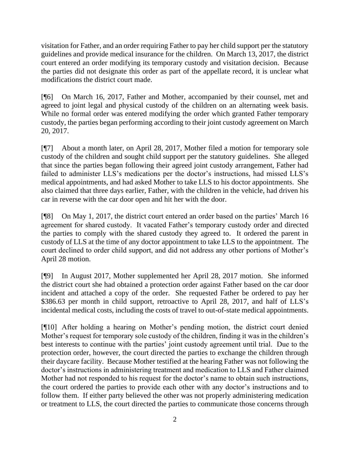visitation for Father, and an order requiring Father to pay her child support per the statutory guidelines and provide medical insurance for the children. On March 13, 2017, the district court entered an order modifying its temporary custody and visitation decision. Because the parties did not designate this order as part of the appellate record, it is unclear what modifications the district court made.

[¶6] On March 16, 2017, Father and Mother, accompanied by their counsel, met and agreed to joint legal and physical custody of the children on an alternating week basis. While no formal order was entered modifying the order which granted Father temporary custody, the parties began performing according to their joint custody agreement on March 20, 2017.

[¶7] About a month later, on April 28, 2017, Mother filed a motion for temporary sole custody of the children and sought child support per the statutory guidelines. She alleged that since the parties began following their agreed joint custody arrangement, Father had failed to administer LLS's medications per the doctor's instructions, had missed LLS's medical appointments, and had asked Mother to take LLS to his doctor appointments. She also claimed that three days earlier, Father, with the children in the vehicle, had driven his car in reverse with the car door open and hit her with the door.

[¶8] On May 1, 2017, the district court entered an order based on the parties' March 16 agreement for shared custody. It vacated Father's temporary custody order and directed the parties to comply with the shared custody they agreed to. It ordered the parent in custody of LLS at the time of any doctor appointment to take LLS to the appointment. The court declined to order child support, and did not address any other portions of Mother's April 28 motion.

[¶9] In August 2017, Mother supplemented her April 28, 2017 motion. She informed the district court she had obtained a protection order against Father based on the car door incident and attached a copy of the order. She requested Father be ordered to pay her \$386.63 per month in child support, retroactive to April 28, 2017, and half of LLS's incidental medical costs, including the costs of travel to out-of-state medical appointments.

[¶10] After holding a hearing on Mother's pending motion, the district court denied Mother's request for temporary sole custody of the children, finding it was in the children's best interests to continue with the parties' joint custody agreement until trial. Due to the protection order, however, the court directed the parties to exchange the children through their daycare facility. Because Mother testified at the hearing Father was not following the doctor's instructions in administering treatment and medication to LLS and Father claimed Mother had not responded to his request for the doctor's name to obtain such instructions, the court ordered the parties to provide each other with any doctor's instructions and to follow them. If either party believed the other was not properly administering medication or treatment to LLS, the court directed the parties to communicate those concerns through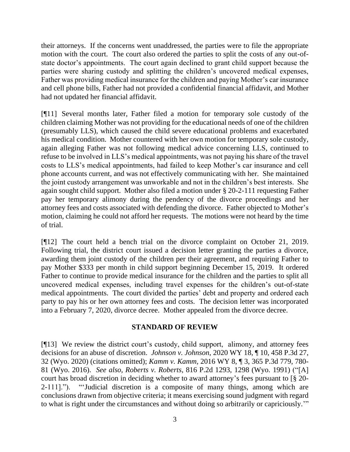their attorneys. If the concerns went unaddressed, the parties were to file the appropriate motion with the court. The court also ordered the parties to split the costs of any out-ofstate doctor's appointments. The court again declined to grant child support because the parties were sharing custody and splitting the children's uncovered medical expenses, Father was providing medical insurance for the children and paying Mother's car insurance and cell phone bills, Father had not provided a confidential financial affidavit, and Mother had not updated her financial affidavit.

[¶11] Several months later, Father filed a motion for temporary sole custody of the children claiming Mother was not providing for the educational needs of one of the children (presumably LLS), which caused the child severe educational problems and exacerbated his medical condition. Mother countered with her own motion for temporary sole custody, again alleging Father was not following medical advice concerning LLS, continued to refuse to be involved in LLS's medical appointments, was not paying his share of the travel costs to LLS's medical appointments, had failed to keep Mother's car insurance and cell phone accounts current, and was not effectively communicating with her. She maintained the joint custody arrangement was unworkable and not in the children's best interests. She again sought child support. Mother also filed a motion under § 20-2-111 requesting Father pay her temporary alimony during the pendency of the divorce proceedings and her attorney fees and costs associated with defending the divorce. Father objected to Mother's motion, claiming he could not afford her requests. The motions were not heard by the time of trial.

[¶12] The court held a bench trial on the divorce complaint on October 21, 2019. Following trial, the district court issued a decision letter granting the parties a divorce, awarding them joint custody of the children per their agreement, and requiring Father to pay Mother \$333 per month in child support beginning December 15, 2019. It ordered Father to continue to provide medical insurance for the children and the parties to split all uncovered medical expenses, including travel expenses for the children's out-of-state medical appointments. The court divided the parties' debt and property and ordered each party to pay his or her own attorney fees and costs. The decision letter was incorporated into a February 7, 2020, divorce decree. Mother appealed from the divorce decree.

#### **STANDARD OF REVIEW**

[¶13] We review the district court's custody, child support, alimony, and attorney fees decisions for an abuse of discretion. *Johnson v. Johnson*, 2020 WY 18, ¶ 10, 458 P.3d 27, 32 (Wyo. 2020) (citations omitted); *Kamm v. Kamm*, 2016 WY 8, ¶ 3, 365 P.3d 779, 780- 81 (Wyo. 2016). *See also, Roberts v. Roberts*, 816 P.2d 1293, 1298 (Wyo. 1991) ("[A] court has broad discretion in deciding whether to award attorney's fees pursuant to [§ 20- 2-111]."). "'Judicial discretion is a composite of many things, among which are conclusions drawn from objective criteria; it means exercising sound judgment with regard to what is right under the circumstances and without doing so arbitrarily or capriciously.'"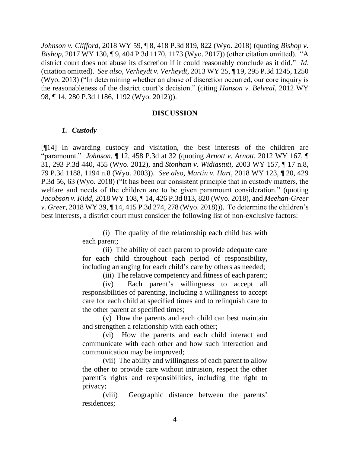*Johnson v. Clifford*, 2018 WY 59, ¶ 8, 418 P.3d 819, 822 (Wyo. 2018) (quoting *Bishop v. Bishop*, 2017 WY 130, ¶ 9, 404 P.3d 1170, 1173 (Wyo. 2017)) (other citation omitted). "A district court does not abuse its discretion if it could reasonably conclude as it did." *Id*. (citation omitted). *See also, Verheydt v. Verheydt*, 2013 WY 25, ¶ 19, 295 P.3d 1245, 1250 (Wyo. 2013) ("In determining whether an abuse of discretion occurred, our core inquiry is the reasonableness of the district court's decision." (citing *Hanson v. Belveal*, 2012 WY 98, ¶ 14, 280 P.3d 1186, 1192 (Wyo. 2012))).

#### **DISCUSSION**

#### *1. Custody*

[¶14] In awarding custody and visitation, the best interests of the children are "paramount." *Johnson*, ¶ 12, 458 P.3d at 32 (quoting *Arnott v. Arnott*, 2012 WY 167, ¶ 31, 293 P.3d 440, 455 (Wyo. 2012), and *Stonham v. Widiastuti*, 2003 WY 157, ¶ 17 n.8, 79 P.3d 1188, 1194 n.8 (Wyo. 2003)). *See also, Martin v. Hart*, 2018 WY 123, ¶ 20, 429 P.3d 56, 63 (Wyo. 2018) ("It has been our consistent principle that in custody matters, the welfare and needs of the children are to be given paramount consideration." (quoting *Jacobson v. Kidd*, 2018 WY 108, ¶ 14, 426 P.3d 813, 820 (Wyo. 2018), and *Meehan-Greer v. Greer*, 2018 WY 39, ¶ 14, 415 P.3d 274, 278 (Wyo. 2018))). To determine the children's best interests, a district court must consider the following list of non-exclusive factors:

> (i) The quality of the relationship each child has with each parent;

> (ii) The ability of each parent to provide adequate care for each child throughout each period of responsibility, including arranging for each child's care by others as needed;

> > (iii) The relative competency and fitness of each parent;

(iv) Each parent's willingness to accept all responsibilities of parenting, including a willingness to accept care for each child at specified times and to relinquish care to the other parent at specified times;

(v) How the parents and each child can best maintain and strengthen a relationship with each other;

(vi) How the parents and each child interact and communicate with each other and how such interaction and communication may be improved;

(vii) The ability and willingness of each parent to allow the other to provide care without intrusion, respect the other parent's rights and responsibilities, including the right to privacy;

(viii) Geographic distance between the parents' residences;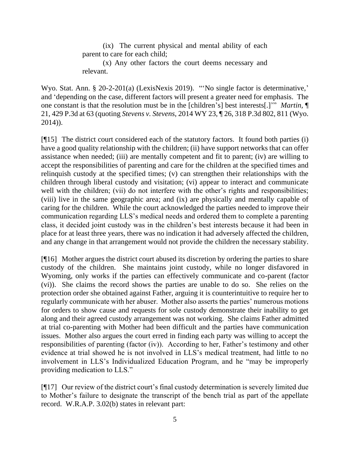(ix) The current physical and mental ability of each parent to care for each child;

(x) Any other factors the court deems necessary and relevant.

Wyo. Stat. Ann. § 20-2-201(a) (LexisNexis 2019). "'No single factor is determinative,' and 'depending on the case, different factors will present a greater need for emphasis. The one constant is that the resolution must be in the [children's] best interests[.]'" *Martin,* ¶ 21, 429 P.3d at 63 (quoting *Stevens v. Stevens*, 2014 WY 23, ¶ 26, 318 P.3d 802, 811 (Wyo. 2014)).

[¶15] The district court considered each of the statutory factors. It found both parties (i) have a good quality relationship with the children; (ii) have support networks that can offer assistance when needed; (iii) are mentally competent and fit to parent; (iv) are willing to accept the responsibilities of parenting and care for the children at the specified times and relinquish custody at the specified times; (v) can strengthen their relationships with the children through liberal custody and visitation; (vi) appear to interact and communicate well with the children; (vii) do not interfere with the other's rights and responsibilities; (viii) live in the same geographic area; and (ix) are physically and mentally capable of caring for the children. While the court acknowledged the parties needed to improve their communication regarding LLS's medical needs and ordered them to complete a parenting class, it decided joint custody was in the children's best interests because it had been in place for at least three years, there was no indication it had adversely affected the children, and any change in that arrangement would not provide the children the necessary stability.

[¶16] Mother argues the district court abused its discretion by ordering the parties to share custody of the children. She maintains joint custody, while no longer disfavored in Wyoming, only works if the parties can effectively communicate and co-parent (factor (vi)). She claims the record shows the parties are unable to do so. She relies on the protection order she obtained against Father, arguing it is counterintuitive to require her to regularly communicate with her abuser. Mother also asserts the parties' numerous motions for orders to show cause and requests for sole custody demonstrate their inability to get along and their agreed custody arrangement was not working. She claims Father admitted at trial co-parenting with Mother had been difficult and the parties have communication issues. Mother also argues the court erred in finding each party was willing to accept the responsibilities of parenting (factor (iv)). According to her, Father's testimony and other evidence at trial showed he is not involved in LLS's medical treatment, had little to no involvement in LLS's Individualized Education Program, and he "may be improperly providing medication to LLS."

[¶17] Our review of the district court's final custody determination is severely limited due to Mother's failure to designate the transcript of the bench trial as part of the appellate record. W.R.A.P. 3.02(b) states in relevant part: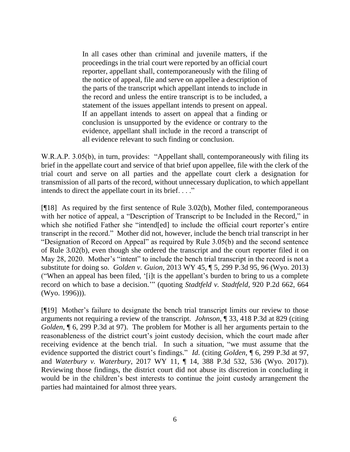In all cases other than criminal and juvenile matters, if the proceedings in the trial court were reported by an official court reporter, appellant shall, contemporaneously with the filing of the notice of appeal, file and serve on appellee a description of the parts of the transcript which appellant intends to include in the record and unless the entire transcript is to be included, a statement of the issues appellant intends to present on appeal. If an appellant intends to assert on appeal that a finding or conclusion is unsupported by the evidence or contrary to the evidence, appellant shall include in the record a transcript of all evidence relevant to such finding or conclusion.

W.R.A.P. 3.05(b), in turn, provides: "Appellant shall, contemporaneously with filing its brief in the appellate court and service of that brief upon appellee, file with the clerk of the trial court and serve on all parties and the appellate court clerk a designation for transmission of all parts of the record, without unnecessary duplication, to which appellant intends to direct the appellate court in its brief. . . ."

[¶18] As required by the first sentence of Rule 3.02(b), Mother filed, contemporaneous with her notice of appeal, a "Description of Transcript to be Included in the Record," in which she notified Father she "intend[ed] to include the official court reporter's entire transcript in the record." Mother did not, however, include the bench trial transcript in her "Designation of Record on Appeal" as required by Rule 3.05(b) and the second sentence of Rule 3.02(b), even though she ordered the transcript and the court reporter filed it on May 28, 2020. Mother's "intent" to include the bench trial transcript in the record is not a substitute for doing so. *Golden v. Guion*, 2013 WY 45, ¶ 5, 299 P.3d 95, 96 (Wyo. 2013) ("When an appeal has been filed, '[i]t is the appellant's burden to bring to us a complete record on which to base a decision.'" (quoting *Stadtfeld v. Stadtfeld*, 920 P.2d 662, 664 (Wyo. 1996))).

[¶19] Mother's failure to designate the bench trial transcript limits our review to those arguments not requiring a review of the transcript. *Johnson*, ¶ 33, 418 P.3d at 829 (citing *Golden*, ¶ 6, 299 P.3d at 97). The problem for Mother is all her arguments pertain to the reasonableness of the district court's joint custody decision, which the court made after receiving evidence at the bench trial. In such a situation, "we must assume that the evidence supported the district court's findings." *Id*. (citing *Golden*, ¶ 6, 299 P.3d at 97, and *Waterbury v. Waterbury*, 2017 WY 11, ¶ 14, 388 P.3d 532, 536 (Wyo. 2017)). Reviewing those findings, the district court did not abuse its discretion in concluding it would be in the children's best interests to continue the joint custody arrangement the parties had maintained for almost three years.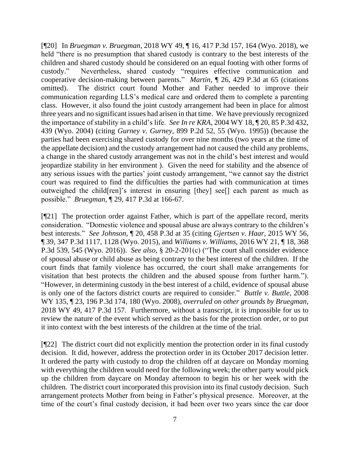[¶20] In *Bruegman v. Bruegman*, 2018 WY 49, ¶ 16, 417 P.3d 157, 164 (Wyo. 2018), we held "there is no presumption that shared custody is contrary to the best interests of the children and shared custody should be considered on an equal footing with other forms of custody." Nevertheless, shared custody "requires effective communication and cooperative decision-making between parents." *Martin*, ¶ 26, 429 P.3d at 65 (citations omitted). The district court found Mother and Father needed to improve their communication regarding LLS's medical care and ordered them to complete a parenting class. However, it also found the joint custody arrangement had been in place for almost three years and no significant issues had arisen in that time. We have previously recognized the importance of stability in a child's life. *See In re KRA*, 2004 WY 18, ¶ 20, 85 P.3d 432, 439 (Wyo. 2004) (citing *Gurney v. Gurney*, 899 P.2d 52, 55 (Wyo. 1995)) (because the parties had been exercising shared custody for over nine months (two years at the time of the appellate decision) and the custody arrangement had not caused the child any problems, a change in the shared custody arrangement was not in the child's best interest and would jeopardize stability in her environment ). Given the need for stability and the absence of any serious issues with the parties' joint custody arrangement, "we cannot say the district court was required to find the difficulties the parties had with communication at times outweighed the child[ren]'s interest in ensuring [they] see[] each parent as much as possible." *Bruegman,* ¶ 29, 417 P.3d at 166-67.

[¶21] The protection order against Father, which is part of the appellate record, merits consideration. "Domestic violence and spousal abuse are always contrary to the children's best interests." *See Johnson*, ¶ 20, 458 P.3d at 35 (citing *Gjertsen v. Haar*, 2015 WY 56, ¶ 39, 347 P.3d 1117, 1128 (Wyo. 2015), and *Williams v. Williams*, 2016 WY 21, ¶ 18, 368 P.3d 539, 545 (Wyo. 2016)). *See also*, § 20-2-201(c) ("The court shall consider evidence of spousal abuse or child abuse as being contrary to the best interest of the children. If the court finds that family violence has occurred, the court shall make arrangements for visitation that best protects the children and the abused spouse from further harm."). "However, in determining custody in the best interest of a child, evidence of spousal abuse is only one of the factors district courts are required to consider." *Buttle v. Buttle*, 2008 WY 135, ¶ 23, 196 P.3d 174, 180 (Wyo. 2008), *overruled on other grounds by Bruegman*, 2018 WY 49, 417 P.3d 157. Furthermore, without a transcript, it is impossible for us to review the nature of the event which served as the basis for the protection order, or to put it into context with the best interests of the children at the time of the trial.

[¶22] The district court did not explicitly mention the protection order in its final custody decision. It did, however, address the protection order in its October 2017 decision letter. It ordered the party with custody to drop the children off at daycare on Monday morning with everything the children would need for the following week; the other party would pick up the children from daycare on Monday afternoon to begin his or her week with the children. The district court incorporated this provision into its final custody decision. Such arrangement protects Mother from being in Father's physical presence. Moreover, at the time of the court's final custody decision, it had been over two years since the car door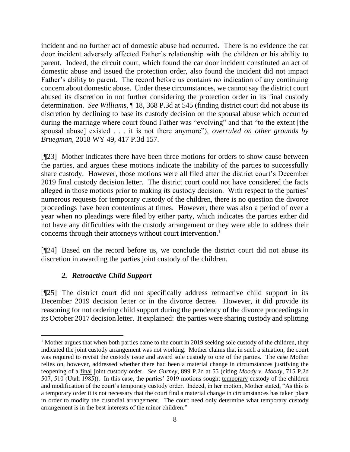incident and no further act of domestic abuse had occurred. There is no evidence the car door incident adversely affected Father's relationship with the children or his ability to parent. Indeed, the circuit court, which found the car door incident constituted an act of domestic abuse and issued the protection order, also found the incident did not impact Father's ability to parent. The record before us contains no indication of any continuing concern about domestic abuse. Under these circumstances, we cannot say the district court abused its discretion in not further considering the protection order in its final custody determination. *See Williams*, ¶ 18, 368 P.3d at 545 (finding district court did not abuse its discretion by declining to base its custody decision on the spousal abuse which occurred during the marriage where court found Father was "evolving" and that "to the extent [the spousal abuse] existed . . . it is not there anymore"), *overruled on other grounds by Bruegman*, 2018 WY 49, 417 P.3d 157.

[¶23] Mother indicates there have been three motions for orders to show cause between the parties, and argues these motions indicate the inability of the parties to successfully share custody. However, those motions were all filed after the district court's December 2019 final custody decision letter. The district court could not have considered the facts alleged in those motions prior to making its custody decision. With respect to the parties' numerous requests for temporary custody of the children, there is no question the divorce proceedings have been contentious at times. However, there was also a period of over a year when no pleadings were filed by either party, which indicates the parties either did not have any difficulties with the custody arrangement or they were able to address their concerns through their attorneys without court intervention.<sup>1</sup>

[¶24] Based on the record before us, we conclude the district court did not abuse its discretion in awarding the parties joint custody of the children.

# *2. Retroactive Child Support*

[¶25] The district court did not specifically address retroactive child support in its December 2019 decision letter or in the divorce decree. However, it did provide its reasoning for not ordering child support during the pendency of the divorce proceedings in its October 2017 decision letter. It explained: the parties were sharing custody and splitting

<sup>&</sup>lt;sup>1</sup> Mother argues that when both parties came to the court in 2019 seeking sole custody of the children, they indicated the joint custody arrangement was not working. Mother claims that in such a situation, the court was required to revisit the custody issue and award sole custody to one of the parties. The case Mother relies on, however, addressed whether there had been a material change in circumstances justifying the reopening of a final joint custody order. *See Gurney*, 899 P.2d at 55 (citing *Moody v. Moody*, 715 P.2d 507, 510 (Utah 1985)). In this case, the parties' 2019 motions sought temporary custody of the children and modification of the court's temporary custody order. Indeed, in her motion, Mother stated, "As this is a temporary order it is not necessary that the court find a material change in circumstances has taken place in order to modify the custodial arrangement. The court need only determine what temporary custody arrangement is in the best interests of the minor children."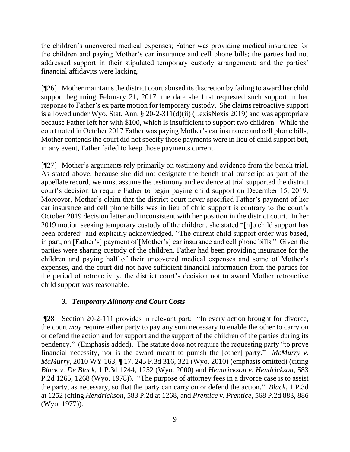the children's uncovered medical expenses; Father was providing medical insurance for the children and paying Mother's car insurance and cell phone bills; the parties had not addressed support in their stipulated temporary custody arrangement; and the parties' financial affidavits were lacking.

[¶26] Mother maintains the district court abused its discretion by failing to award her child support beginning February 21, 2017, the date she first requested such support in her response to Father's ex parte motion for temporary custody. She claims retroactive support is allowed under Wyo. Stat. Ann. § 20-2-311(d)(ii) (LexisNexis 2019) and was appropriate because Father left her with \$100, which is insufficient to support two children. While the court noted in October 2017 Father was paying Mother's car insurance and cell phone bills, Mother contends the court did not specify those payments were in lieu of child support but, in any event, Father failed to keep those payments current.

[¶27] Mother's arguments rely primarily on testimony and evidence from the bench trial. As stated above, because she did not designate the bench trial transcript as part of the appellate record, we must assume the testimony and evidence at trial supported the district court's decision to require Father to begin paying child support on December 15, 2019. Moreover, Mother's claim that the district court never specified Father's payment of her car insurance and cell phone bills was in lieu of child support is contrary to the court's October 2019 decision letter and inconsistent with her position in the district court. In her 2019 motion seeking temporary custody of the children, she stated "[n]o child support has been ordered" and explicitly acknowledged, "The current child support order was based, in part, on [Father's] payment of [Mother's] car insurance and cell phone bills." Given the parties were sharing custody of the children, Father had been providing insurance for the children and paying half of their uncovered medical expenses and some of Mother's expenses, and the court did not have sufficient financial information from the parties for the period of retroactivity, the district court's decision not to award Mother retroactive child support was reasonable.

# *3. Temporary Alimony and Court Costs*

[¶28] Section 20-2-111 provides in relevant part: "In every action brought for divorce, the court *may* require either party to pay any sum necessary to enable the other to carry on or defend the action and for support and the support of the children of the parties during its pendency." (Emphasis added). The statute does not require the requesting party "to prove financial necessity, nor is the award meant to punish the [other] party." *McMurry v. McMurry*, 2010 WY 163, ¶ 17, 245 P.3d 316, 321 (Wyo. 2010) (emphasis omitted) (citing *Black v. De Black*, 1 P.3d 1244, 1252 (Wyo. 2000) and *Hendrickson v. Hendrickson*, 583 P.2d 1265, 1268 (Wyo. 1978)). "The purpose of attorney fees in a divorce case is to assist the party, as necessary, so that the party can carry on or defend the action." *Black*, 1 P.3d at 1252 (citing *Hendrickson*, 583 P.2d at 1268, and *Prentice v. Prentice*, 568 P.2d 883, 886 (Wyo. 1977)).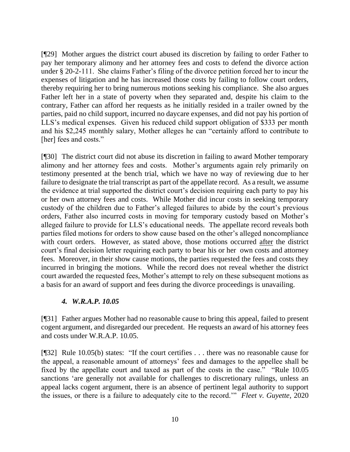[¶29] Mother argues the district court abused its discretion by failing to order Father to pay her temporary alimony and her attorney fees and costs to defend the divorce action under § 20-2-111. She claims Father's filing of the divorce petition forced her to incur the expenses of litigation and he has increased those costs by failing to follow court orders, thereby requiring her to bring numerous motions seeking his compliance. She also argues Father left her in a state of poverty when they separated and, despite his claim to the contrary, Father can afford her requests as he initially resided in a trailer owned by the parties, paid no child support, incurred no daycare expenses, and did not pay his portion of LLS's medical expenses. Given his reduced child support obligation of \$333 per month and his \$2,245 monthly salary, Mother alleges he can "certainly afford to contribute to [her] fees and costs."

[¶30] The district court did not abuse its discretion in failing to award Mother temporary alimony and her attorney fees and costs. Mother's arguments again rely primarily on testimony presented at the bench trial, which we have no way of reviewing due to her failure to designate the trial transcript as part of the appellate record. As a result, we assume the evidence at trial supported the district court's decision requiring each party to pay his or her own attorney fees and costs. While Mother did incur costs in seeking temporary custody of the children due to Father's alleged failures to abide by the court's previous orders, Father also incurred costs in moving for temporary custody based on Mother's alleged failure to provide for LLS's educational needs. The appellate record reveals both parties filed motions for orders to show cause based on the other's alleged noncompliance with court orders. However, as stated above, those motions occurred after the district court's final decision letter requiring each party to bear his or her own costs and attorney fees. Moreover, in their show cause motions, the parties requested the fees and costs they incurred in bringing the motions. While the record does not reveal whether the district court awarded the requested fees, Mother's attempt to rely on these subsequent motions as a basis for an award of support and fees during the divorce proceedings is unavailing.

# *4. W.R.A.P. 10.05*

[¶31] Father argues Mother had no reasonable cause to bring this appeal, failed to present cogent argument, and disregarded our precedent. He requests an award of his attorney fees and costs under W.R.A.P. 10.05.

[¶32] Rule 10.05(b) states: "If the court certifies . . . there was no reasonable cause for the appeal, a reasonable amount of attorneys' fees and damages to the appellee shall be fixed by the appellate court and taxed as part of the costs in the case." "Rule 10.05 sanctions 'are generally not available for challenges to discretionary rulings, unless an appeal lacks cogent argument, there is an absence of pertinent legal authority to support the issues, or there is a failure to adequately cite to the record.'" *Fleet v. Guyette*, 2020